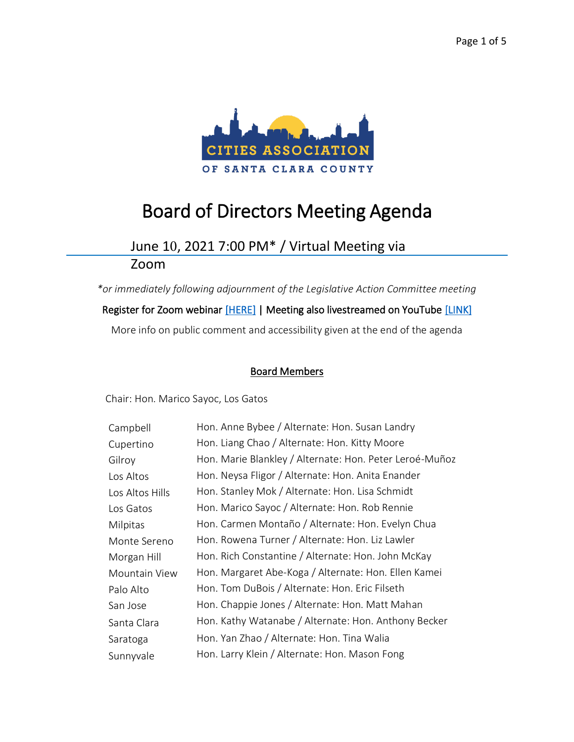

# Board of Directors Meeting Agenda

# June 10, 2021 7:00 PM\* / Virtual Meeting via

Zoom

*\*or immediately following adjournment of the Legislative Action Committee meeting* Register for Zoom webinar [\[HERE\]](https://us02web.zoom.us/webinar/register/WN_hY2d33wbS2CM_aMau4Qzlg) | Meeting also livestreamed on YouTube [\[LINK\]](https://www.youtube.com/channel/UCW7TMjkY15NSbeoJFv9j_nA) More info on public comment and accessibility given at the end of the agenda

### Board Members

Chair: Hon. Marico Sayoc, Los Gatos

| Campbell        | Hon. Anne Bybee / Alternate: Hon. Susan Landry          |
|-----------------|---------------------------------------------------------|
| Cupertino       | Hon. Liang Chao / Alternate: Hon. Kitty Moore           |
| Gilroy          | Hon. Marie Blankley / Alternate: Hon. Peter Leroé-Muñoz |
| Los Altos       | Hon. Neysa Fligor / Alternate: Hon. Anita Enander       |
| Los Altos Hills | Hon. Stanley Mok / Alternate: Hon. Lisa Schmidt         |
| Los Gatos       | Hon. Marico Sayoc / Alternate: Hon. Rob Rennie          |
| Milpitas        | Hon. Carmen Montaño / Alternate: Hon. Evelyn Chua       |
| Monte Sereno    | Hon. Rowena Turner / Alternate: Hon. Liz Lawler         |
| Morgan Hill     | Hon. Rich Constantine / Alternate: Hon. John McKay      |
| Mountain View   | Hon. Margaret Abe-Koga / Alternate: Hon. Ellen Kamei    |
| Palo Alto       | Hon. Tom DuBois / Alternate: Hon. Eric Filseth          |
| San Jose        | Hon. Chappie Jones / Alternate: Hon. Matt Mahan         |
| Santa Clara     | Hon. Kathy Watanabe / Alternate: Hon. Anthony Becker    |
| Saratoga        | Hon. Yan Zhao / Alternate: Hon. Tina Walia              |
| Sunnyvale       | Hon. Larry Klein / Alternate: Hon. Mason Fong           |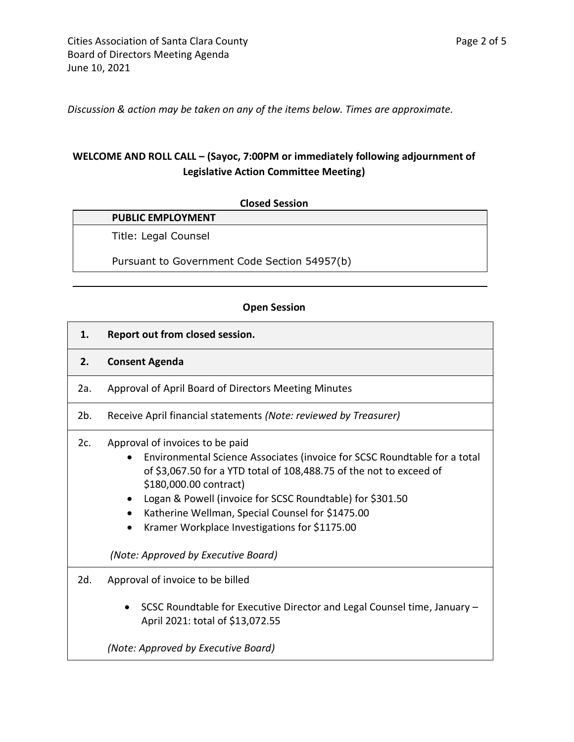*Discussion & action may be taken on any of the items below. Times are approximate.* 

# **WELCOME AND ROLL CALL – (Sayoc, 7:00PM or immediately following adjournment of Legislative Action Committee Meeting)**

| <b>PUBLIC EMPLOYMENT</b>                     |
|----------------------------------------------|
| Title: Legal Counsel                         |
| Pursuant to Government Code Section 54957(b) |

#### **Open Session**

- **1. Report out from closed session.**
- **2. Consent Agenda**
- 2a. Approval of April Board of Directors Meeting Minutes
- 2b. Receive April financial statements *(Note: reviewed by Treasurer)*
- 2c. Approval of invoices to be paid
	- Environmental Science Associates (invoice for SCSC Roundtable for a total of \$3,067.50 for a YTD total of 108,488.75 of the not to exceed of \$180,000.00 contract)
	- Logan & Powell (invoice for SCSC Roundtable) for \$301.50
	- Katherine Wellman, Special Counsel for \$1475.00
	- Kramer Workplace Investigations for \$1175.00

*(Note: Approved by Executive Board)*

- 2d. Approval of invoice to be billed
	- SCSC Roundtable for Executive Director and Legal Counsel time, January April 2021: total of \$13,072.55

*(Note: Approved by Executive Board)*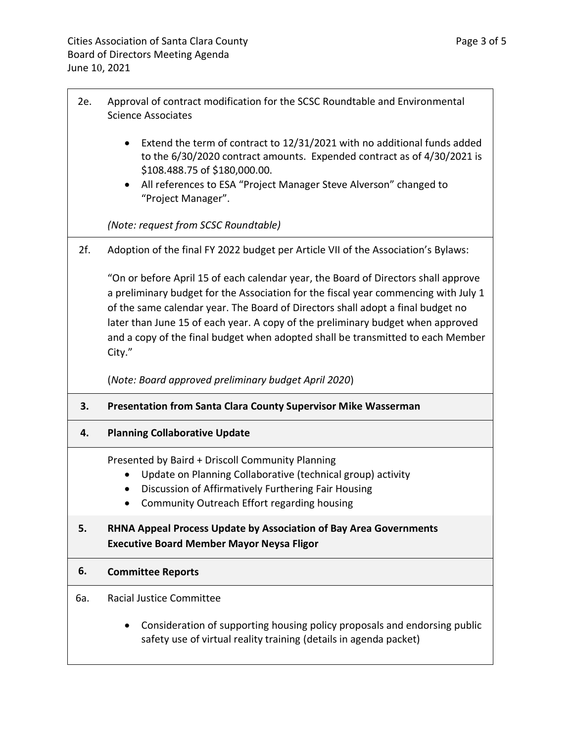- 2e. Approval of contract modification for the SCSC Roundtable and Environmental Science Associates
	- Extend the term of contract to 12/31/2021 with no additional funds added to the 6/30/2020 contract amounts. Expended contract as of 4/30/2021 is \$108.488.75 of \$180,000.00.
	- All references to ESA "Project Manager Steve Alverson" changed to "Project Manager".

*(Note: request from SCSC Roundtable)*

2f. Adoption of the final FY 2022 budget per Article VII of the Association's Bylaws:

"On or before April 15 of each calendar year, the Board of Directors shall approve a preliminary budget for the Association for the fiscal year commencing with July 1 of the same calendar year. The Board of Directors shall adopt a final budget no later than June 15 of each year. A copy of the preliminary budget when approved and a copy of the final budget when adopted shall be transmitted to each Member City."

(*Note: Board approved preliminary budget April 2020*)

- **3. Presentation from Santa Clara County Supervisor Mike Wasserman**
- **4. Planning Collaborative Update**

Presented by Baird + Driscoll Community Planning

- Update on Planning Collaborative (technical group) activity
- Discussion of Affirmatively Furthering Fair Housing
- Community Outreach Effort regarding housing

## **5. RHNA Appeal Process Update by Association of Bay Area Governments Executive Board Member Mayor Neysa Fligor**

#### **6. Committee Reports**

- 6a. Racial Justice Committee
	- Consideration of supporting housing policy proposals and endorsing public safety use of virtual reality training (details in agenda packet)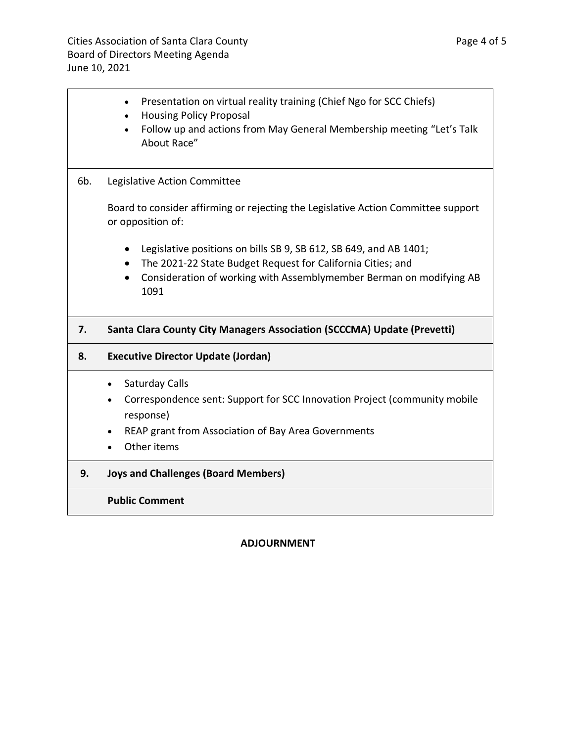|     | Presentation on virtual reality training (Chief Ngo for SCC Chiefs)<br>$\bullet$<br><b>Housing Policy Proposal</b><br>$\bullet$<br>Follow up and actions from May General Membership meeting "Let's Talk<br>About Race" |  |
|-----|-------------------------------------------------------------------------------------------------------------------------------------------------------------------------------------------------------------------------|--|
| 6b. | Legislative Action Committee                                                                                                                                                                                            |  |
|     | Board to consider affirming or rejecting the Legislative Action Committee support<br>or opposition of:                                                                                                                  |  |
|     | Legislative positions on bills SB 9, SB 612, SB 649, and AB 1401;<br>The 2021-22 State Budget Request for California Cities; and<br>Consideration of working with Assemblymember Berman on modifying AB<br>1091         |  |
| 7.  | Santa Clara County City Managers Association (SCCCMA) Update (Prevetti)                                                                                                                                                 |  |
| 8.  | <b>Executive Director Update (Jordan)</b>                                                                                                                                                                               |  |
|     | Saturday Calls<br>$\bullet$<br>Correspondence sent: Support for SCC Innovation Project (community mobile<br>$\bullet$<br>response)<br>REAP grant from Association of Bay Area Governments<br>Other items                |  |
| 9.  | <b>Joys and Challenges (Board Members)</b>                                                                                                                                                                              |  |
|     | <b>Public Comment</b>                                                                                                                                                                                                   |  |

#### **ADJOURNMENT**